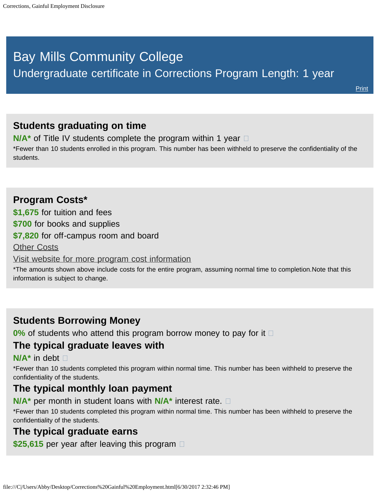# <span id="page-0-0"></span>Bay Mills Community College Undergraduate certificate in Corrections Program Length: 1 year

## **Students graduating on time**

**N/A<sup>\*</sup>** of Title IV students complete the program within 1 year  $\Box$ 

\*Fewer than 10 students enrolled in this program. This number has been withheld to preserve the confidentiality of the students.

## **Program Costs\* \$1,675** for tuition and fees **\$700** for books and supplies **\$7,820** for off-campus room and board [Other Costs](#page-0-0)

[Visit website for more program cost information](http://bmcc.edu/admissions/financial-aid/understanding-tuition)

\*The amounts shown above include costs for the entire program, assuming normal time to completion.Note that this information is subject to change.

## **Students Borrowing Money**

**0%** of students who attend this program borrow money to pay for it  $\Box$ 

## **The typical graduate leaves with**

#### **N/A\*** in debt

\*Fewer than 10 students completed this program within normal time. This number has been withheld to preserve the confidentiality of the students.

#### **The typical monthly loan payment**

**N/A\*** per month in student loans with **N/A\*** interest rate.

\*Fewer than 10 students completed this program within normal time. This number has been withheld to preserve the confidentiality of the students.

## **The typical graduate earns**

**\$25,615** per year after leaving this program  $\Box$